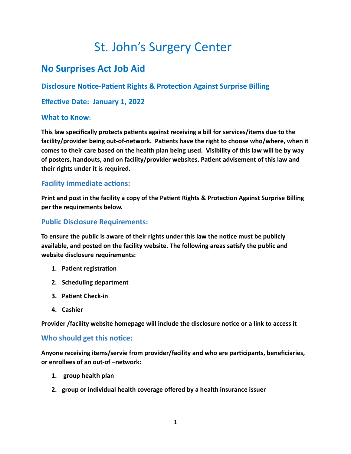# St. John's Surgery Center

# **No Surprises Act Job Aid**

## **Disclosure Notice-Patient Rights & Protection Against Surprise Billing**

### **Effective Date: January 1, 2022**

#### **What to Know:**

**This law specifically protects patients against receiving a bill for services/items due to the facility/provider being out-of-network. Patients have the right to choose who/where, when it comes to their care based on the health plan being used. Visibility of this law will be by way of posters, handouts, and on facility/provider websites. Patient advisement of this law and their rights under it is required.**

#### **Facility immediate actions:**

**Print and post in the facility a copy of the Patient Rights & Protection Against Surprise Billing per the requirements below.**

#### **Public Disclosure Requirements:**

**To ensure the public is aware of their rights under this law the notice must be publicly available, and posted on the facility website. The following areas satisfy the public and website disclosure requirements:**

- **1. Patient registration**
- **2. Scheduling department**
- **3. Patient Check-in**
- **4. Cashier**

**Provider /facility website homepage will include the disclosure notice or a link to access it**

#### **Who should get this notice:**

**Anyone receiving items/servie from provider/facility and who are participants, beneficiaries, or enrollees of an out-of –network:**

- **1. group health plan**
- **2. group or individual health coverage offered by a health insurance issuer**